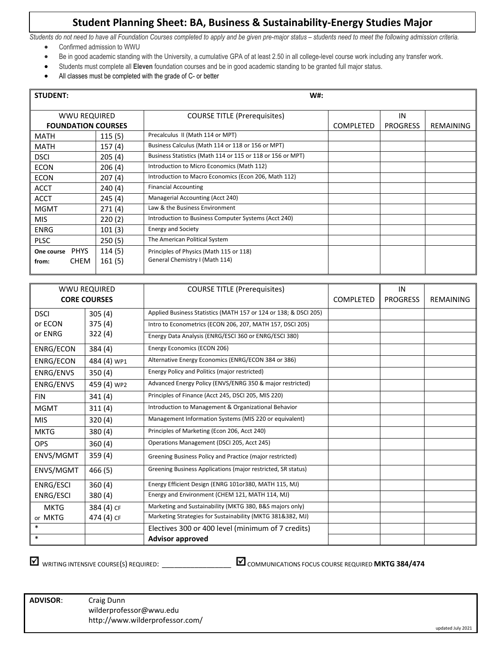## **Student Planning Sheet: BA, Business & Sustainability-Energy Studies Major**

*Students do not need to have all Foundation Courses completed to apply and be given pre-major status – students need to meet the following admission criteria.*

- Confirmed admission to WWU
- Be in good academic standing with the University, a cumulative GPA of at least 2.50 in all college-level course work including any transfer work.
- Students must complete all **Eleven** foundation courses and be in good academic standing to be granted full major status.
- All classes must be completed with the grade of C- or better

| <b>STUDENT:</b>           | W#:                        |                   |                                                                           |                  |           |  |  |  |  |  |
|---------------------------|----------------------------|-------------------|---------------------------------------------------------------------------|------------------|-----------|--|--|--|--|--|
|                           | WWU REQUIRED               |                   | <b>COURSE TITLE (Prerequisites)</b>                                       |                  | IN        |  |  |  |  |  |
| <b>FOUNDATION COURSES</b> |                            |                   |                                                                           | <b>COMPLETED</b> | REMAINING |  |  |  |  |  |
| <b>MATH</b>               |                            | 115(5)            | Precalculus II (Math 114 or MPT)                                          |                  |           |  |  |  |  |  |
| <b>MATH</b>               |                            | 157(4)            | Business Calculus (Math 114 or 118 or 156 or MPT)                         |                  |           |  |  |  |  |  |
| <b>DSCI</b>               |                            | 205(4)            | Business Statistics (Math 114 or 115 or 118 or 156 or MPT)                |                  |           |  |  |  |  |  |
| <b>ECON</b>               |                            | 206(4)            | Introduction to Micro Economics (Math 112)                                |                  |           |  |  |  |  |  |
| <b>ECON</b>               |                            | 207(4)            | Introduction to Macro Economics (Econ 206, Math 112)                      |                  |           |  |  |  |  |  |
| <b>ACCT</b>               |                            | 240(4)            | <b>Financial Accounting</b>                                               |                  |           |  |  |  |  |  |
| <b>ACCT</b>               |                            | 245(4)            | Managerial Accounting (Acct 240)                                          |                  |           |  |  |  |  |  |
| <b>MGMT</b>               |                            | 271(4)            | Law & the Business Environment                                            |                  |           |  |  |  |  |  |
| <b>MIS</b>                |                            | 220(2)            | Introduction to Business Computer Systems (Acct 240)                      |                  |           |  |  |  |  |  |
| ENRG                      |                            | 101(3)            | <b>Energy and Society</b>                                                 |                  |           |  |  |  |  |  |
| <b>PLSC</b>               |                            | 250(5)            | The American Political System                                             |                  |           |  |  |  |  |  |
| One course<br>from:       | <b>PHYS</b><br><b>CHEM</b> | 114 (5)<br>161(5) | Principles of Physics (Math 115 or 118)<br>General Chemistry I (Math 114) |                  |           |  |  |  |  |  |

| <b>WWU REQUIRED</b> |                     | <b>COURSE TITLE (Prerequisites)</b>                              |                  | IN              |                  |
|---------------------|---------------------|------------------------------------------------------------------|------------------|-----------------|------------------|
|                     | <b>CORE COURSES</b> |                                                                  | <b>COMPLETED</b> | <b>PROGRESS</b> | <b>REMAINING</b> |
| <b>DSCI</b>         | 305(4)              | Applied Business Statistics (MATH 157 or 124 or 138; & DSCI 205) |                  |                 |                  |
| or ECON             | 375(4)              | Intro to Econometrics (ECON 206, 207, MATH 157, DSCI 205)        |                  |                 |                  |
| or ENRG             | 322(4)              | Energy Data Analysis (ENRG/ESCI 360 or ENRG/ESCI 380)            |                  |                 |                  |
| ENRG/ECON           | 384 (4)             | Energy Economics (ECON 206)                                      |                  |                 |                  |
| ENRG/ECON           | 484 (4) WP1         | Alternative Energy Economics (ENRG/ECON 384 or 386)              |                  |                 |                  |
| ENRG/ENVS           | 350(4)              | Energy Policy and Politics (major restricted)                    |                  |                 |                  |
| ENRG/ENVS           | 459 (4) WP2         | Advanced Energy Policy (ENVS/ENRG 350 & major restricted)        |                  |                 |                  |
| <b>FIN</b>          | 341(4)              | Principles of Finance (Acct 245, DSCI 205, MIS 220)              |                  |                 |                  |
| <b>MGMT</b>         | 311(4)              | Introduction to Management & Organizational Behavior             |                  |                 |                  |
| <b>MIS</b>          | 320 (4)             | Management Information Systems (MIS 220 or equivalent)           |                  |                 |                  |
| <b>MKTG</b>         | 380 (4)             | Principles of Marketing (Econ 206, Acct 240)                     |                  |                 |                  |
| <b>OPS</b>          | 360 (4)             | Operations Management (DSCI 205, Acct 245)                       |                  |                 |                  |
| ENVS/MGMT           | 359 (4)             | Greening Business Policy and Practice (major restricted)         |                  |                 |                  |
| ENVS/MGMT           | 466 (5)             | Greening Business Applications (major restricted, SR status)     |                  |                 |                  |
| ENRG/ESCI           | 360(4)              | Energy Efficient Design (ENRG 101or380, MATH 115, MJ)            |                  |                 |                  |
| ENRG/ESCI           | 380(4)              | Energy and Environment (CHEM 121, MATH 114, MJ)                  |                  |                 |                  |
| <b>MKTG</b>         | 384 (4) CF          | Marketing and Sustainability (MKTG 380, B&S majors only)         |                  |                 |                  |
| or MKTG             | 474 (4) CF          | Marketing Strategies for Sustainability (MKTG 381&382, MJ)       |                  |                 |                  |
| $\ast$              |                     | Electives 300 or 400 level (minimum of 7 credits)                |                  |                 |                  |
| $\ast$              |                     | <b>Advisor approved</b>                                          |                  |                 |                  |

WRITING INTENSIVE COURSE(S) REQUIRED: \_\_\_\_\_\_\_\_\_\_\_\_\_\_\_\_\_\_\_\_\_\_\_\_\_\_\_ **M** communications focus course required **MKTG 384/474** 

**ADVISOR**: Craig Dunn wilderprofessor@wwu.edu http://www.wilderprofessor.com/